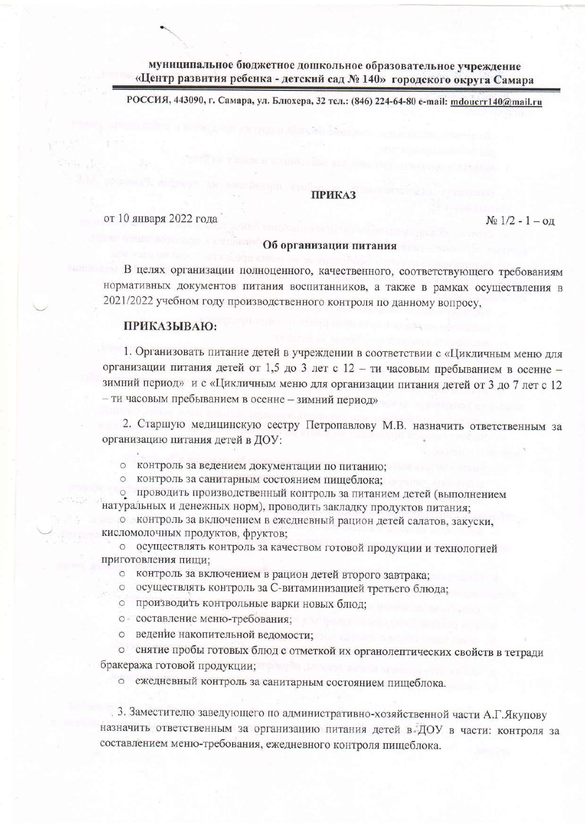муниципальное бюджетное дошкольное образовательное учреждение «Центр развития ребенка - детский сад № 140» городского округа Самара

РОССИЯ, 443090, г. Самара, ул. Блюхера, 32 тел.: (846) 224-64-80 e-mail: mdoucrr140@mail.ru

## **ПРИКАЗ**

от 10 января 2022 года

#### $N_2$  1/2 - 1 – од

#### Об организации питания

В целях организации полноценного, качественного, соответствующего требованиям нормативных документов питания воспитанников, а также в рамках осуществления в 2021/2022 учебном году производственного контроля по данному вопросу,

## ПРИКАЗЫВАЮ:

1. Организовать питание детей в учреждении в соответствии с «Цикличным меню для организации питания детей от 1,5 до 3 лет с 12 - ти часовым пребыванием в осенне зимний период» и с «Цикличным меню для организации питания детей от 3 до 7 лет с 12 - ти часовым пребыванием в осенне - зимний период»

2. Старшую медицинскую сестру Петропавлову М.В. назначить ответственным за организацию питания детей в ДОУ:

о контроль за ведением документации по питанию;

о контроль за санитарным состоянием пищеблока:

о проводить производственный контроль за питанием детей (выполнением натуральных и денежных норм), проводить закладку продуктов питания;

о контроль за включением в ежедневный рацион детей салатов, закуски, кисломолочных продуктов, фруктов;

о осуществлять контроль за качеством готовой продукции и технологией приготовления пищи;

о контроль за включением в рацион детей второго завтрака;

о осуществлять контроль за С-витаминизацией третьего блюда;

о производить контрольные варки новых блюд;

о составление меню-требования:

о ведение накопительной ведомости:

о снятие пробы готовых блюд с отметкой их органолептических свойств в тетради бракеража готовой продукции:

о ежедневный контроль за санитарным состоянием пищеблока.

3. Заместителю заведующего по административно-хозяйственной части А.Г. Якупову назначить ответственным за организацию питания детей в ДОУ в части: контроля за составлением меню-требования, ежедневного контроля пищеблока.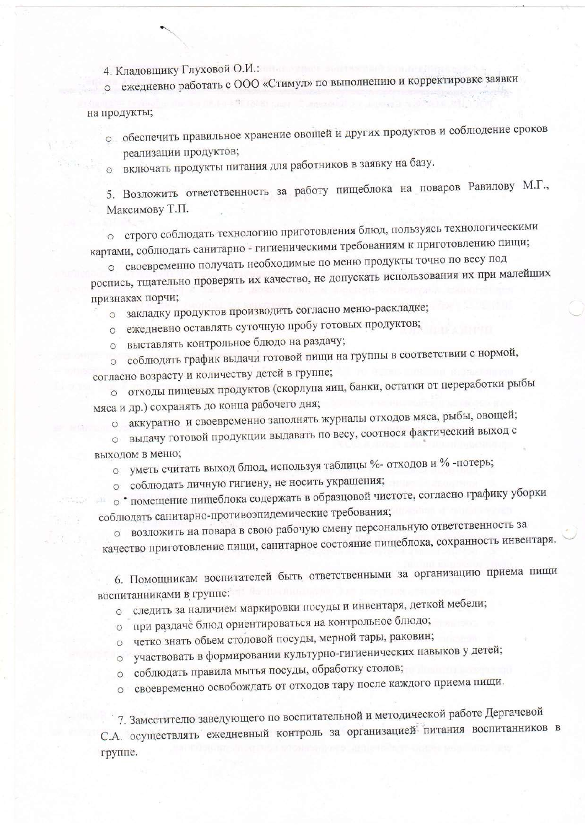4. Кладовщику Глуховой О.И.:

о ежедневно работать с ООО «Стимул» по выполнению и корректировке заявки

# на продукты;

- о обеспечить правильное хранение овощей и других продуктов и соблюдение сроков реализации продуктов;
- о включать продукты питания для работников в заявку на базу.

5. Возложить ответственность за работу пищеблока на поваров Равилову М.Г., Максимову Т.П.

о строго соблюдать технологию приготовления блюд, пользуясь технологическими картами, соблюдать санитарно - гигиеническими требованиям к приготовлению пищи;

о своевременно получать необходимые по меню продукты точно по весу под роспись, тщательно проверять их качество, не допускать использования их при малейших признаках порчи;

- о закладку продуктов производить согласно меню-раскладке;
- о ежедневно оставлять суточную пробу готовых продуктов;
- о выставлять контрольное блюдо на раздачу;
- о соблюдать график выдачи готовой пищи на группы в соответствии с нормой, согласно возрасту и количеству детей в группе;
- о отходы пищевых продуктов (скорлупа яиц, банки, остатки от переработки рыбы мяса и др.) сохранять до конца рабочего дня;
	- о аккуратно и своевременно заполнять журналы отходов мяса, рыбы, овощей;
- о выдачу готовой продукции выдавать по весу, соотнося фактический выход с выходом в меню;
	- о уметь считать выход блюд, используя таблицы %- отходов и %-потерь;
	- о соблюдать личную гигиену, не носить украшения;

• помещение пищеблока содержать в образцовой чистоте, согласно графику уборки соблюдать санитарно-противоэпидемические требования;

о возложить на повара в свою рабочую смену персональную ответственность за качество приготовление пищи, санитарное состояние пищеблока, сохранность инвентаря.

6. Помощникам воспитателей быть ответственными за организацию приема пищи воспитанниками в группе:

о следить за наличием маркировки посуды и инвентаря, деткой мебели;

- о при раздаче блюд ориентироваться на контрольное блюдо;
- о четко знать объем столовой посуды, мерной тары, раковин;
- участвовать в формировании культурно-гигиенических навыков у детей;  $\circ$
- о соблюдать правила мытья посуды, обработку столов;
- о своевременно освобождать от отходов тару после каждого приема пищи.

7. Заместителю заведующего по воспитательной и методической работе Дергачевой С.А. осуществлять ежедневный контроль за организацией питания воспитанников в группе.